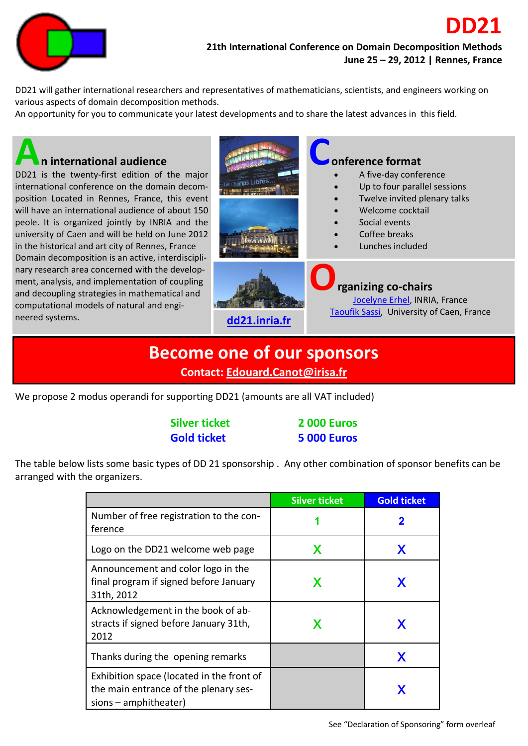

DD21 will gather international researchers and representatives of mathematicians, scientists, and engineers working on various aspects of domain decomposition methods.

An opportunity for you to communicate your latest developments and to share the latest advances in this field.



## **Become one of our sponsors**

**Contact: [Edouard.Canot@irisa.fr](mailto:Edouard.Canot@irisa.fr)**

We propose 2 modus operandi for supporting DD21 (amounts are all VAT included)

| <b>Silver ticket</b> | <b>2000 Euros</b>  |
|----------------------|--------------------|
| <b>Gold ticket</b>   | <b>5 000 Euros</b> |

The table below lists some basic types of DD 21 sponsorship . Any other combination of sponsor benefits can be arranged with the organizers.

|                                                                                                               | <b>Silver ticket</b> | <b>Gold ticket</b> |
|---------------------------------------------------------------------------------------------------------------|----------------------|--------------------|
| Number of free registration to the con-<br>ference                                                            | 1                    | 2                  |
| Logo on the DD21 welcome web page                                                                             | X                    | X                  |
| Announcement and color logo in the<br>final program if signed before January<br>31th, 2012                    | X                    | X                  |
| Acknowledgement in the book of ab-<br>stracts if signed before January 31th,<br>2012                          | X                    | X                  |
| Thanks during the opening remarks                                                                             |                      | X                  |
| Exhibition space (located in the front of<br>the main entrance of the plenary ses-<br>$sions$ – amphitheater) |                      | X                  |